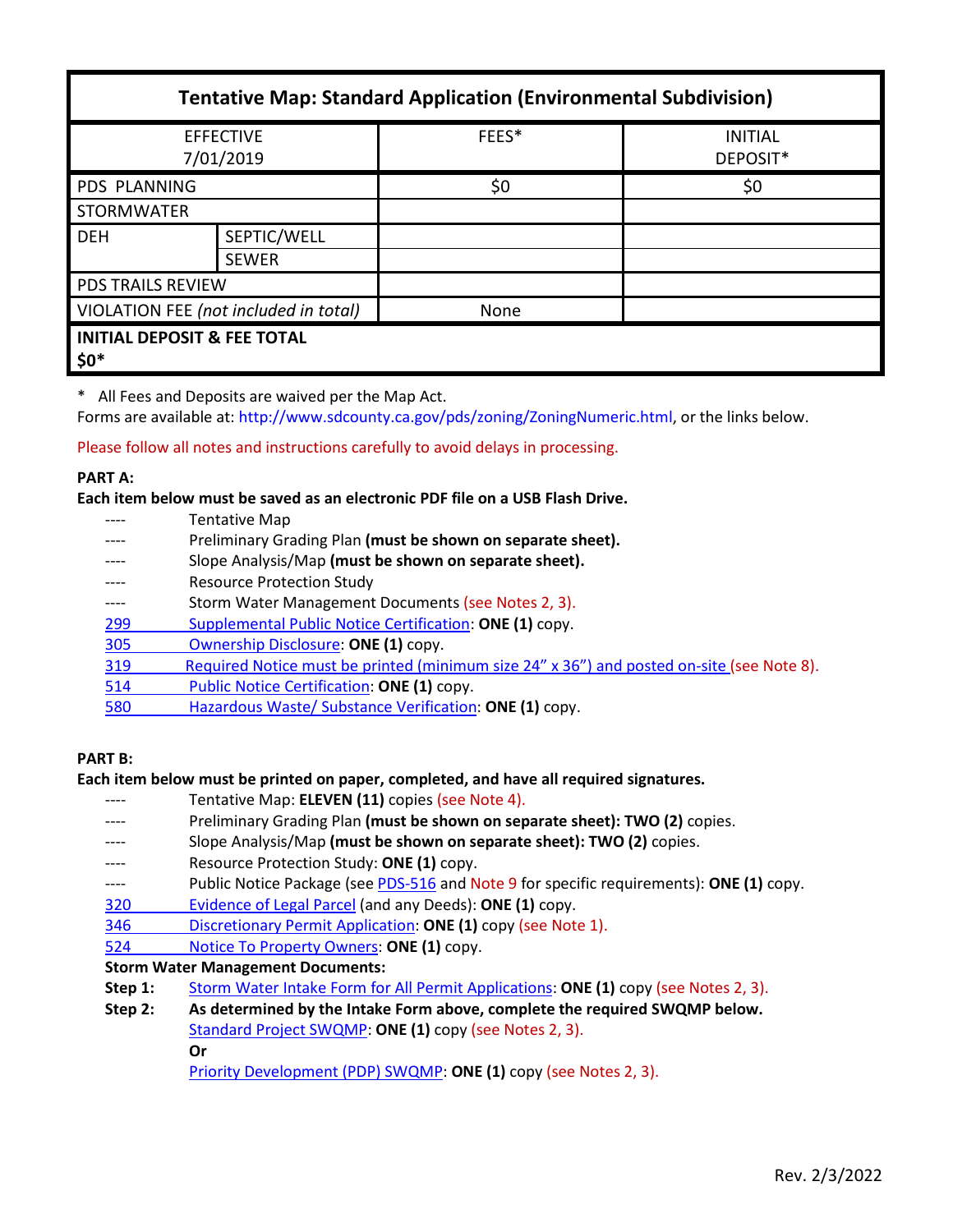| <b>Tentative Map: Standard Application (Environmental Subdivision)</b> |                             |       |                            |  |
|------------------------------------------------------------------------|-----------------------------|-------|----------------------------|--|
| <b>EFFECTIVE</b><br>7/01/2019                                          |                             | FEES* | <b>INITIAL</b><br>DEPOSIT* |  |
| <b>PDS PLANNING</b>                                                    |                             | \$0   | \$0                        |  |
| <b>STORMWATER</b>                                                      |                             |       |                            |  |
| <b>DEH</b>                                                             | SEPTIC/WELL<br><b>SEWER</b> |       |                            |  |
| <b>PDS TRAILS REVIEW</b>                                               |                             |       |                            |  |
| VIOLATION FEE (not included in total)                                  |                             | None  |                            |  |
| <b>INITIAL DEPOSIT &amp; FEE TOTAL</b><br>$$0^*$                       |                             |       |                            |  |

\* All Fees and Deposits are waived per the Map Act.

Forms are available at: [http://www.sdcounty.ca.gov/pds/zoning/ZoningNumeric.html,](http://www.sdcounty.ca.gov/pds/zoning/ZoningNumeric.html) or the links below.

Please follow all notes and instructions carefully to avoid delays in processing.

#### **PART A:**

**Each item below must be saved as an electronic PDF file on a USB Flash Drive.**

- ---- Tentative Map
- ---- Preliminary Grading Plan **(must be shown on separate sheet).**
- ---- Slope Analysis/Map **(must be shown on separate sheet).**
- Resource Protection Study
- ---- Storm Water Management Documents (see Notes 2, 3).
- 299 [Supplemental Public Notice Certification:](http://www.sdcounty.ca.gov/pds/zoning/formfields/PDS-PLN-299.pdf) **ONE (1)** copy.
- [305 Ownership Disclosure:](http://www.sdcounty.ca.gov/pds/zoning/formfields/PDS-PLN-305.pdf) **ONE (1)** copy.
- [319 Required Notice must be printed \(minimum size 24" x 36"\) and posted on-site](https://www.sandiegocounty.gov/content/dam/sdc/pds/zoning/formfields/PDS-PLN-319.pdf) (see Note 8).
- 514 [Public Notice Certification:](http://www.sdcounty.ca.gov/pds/zoning/formfields/PDS-PLN-514.pdf) **ONE (1)** copy.
- [580 Hazardous Waste/ Substance Verification:](http://www.sdcounty.ca.gov/pds/zoning/formfields/PDS-PLN-580.pdf) **ONE (1)** copy.

### **PART B:**

### **Each item below must be printed on paper, completed, and have all required signatures.**

- ---- Tentative Map: **ELEVEN (11)** copies (see Note 4).
- Preliminary Grading Plan (must be shown on separate sheet): **TWO** (2) copies.
- ---- Slope Analysis/Map **(must be shown on separate sheet): TWO (2)** copies.
- Resource Protection Study: ONE (1) copy.
- ---- Public Notice Package (se[e PDS-516](http://www.sdcounty.ca.gov/pds/zoning/formfields/PDS-PLN-516.pdf) and Note 9 for specific requirements): **ONE (1)** copy.
- [320 Evidence of Legal Parcel](http://www.sdcounty.ca.gov/pds/zoning/formfields/PDS-PLN-320.pdf) (and any Deeds): **ONE (1)** copy.
- 346 [Discretionary Permit Application:](http://www.sdcounty.ca.gov/pds/zoning/formfields/PDS-PLN-346.pdf) **ONE (1)** copy (see Note 1).
- 524 [Notice To Property Owners:](http://www.sdcounty.ca.gov/pds/zoning/formfields/PDS-PLN-524.pdf) **ONE (1)** copy.

### **Storm Water Management Documents:**

- **Step 1:** [Storm Water Intake Form for All Permit Applications:](http://www.sandiegocounty.gov/content/dam/sdc/pds/zoning/formfields/SWQMP-Intake-Form.pdf) **ONE (1)** copy (see Notes 2, 3).
- **Step 2: As determined by the Intake Form above, complete the required SWQMP below.** [Standard Project SWQMP:](http://www.sandiegocounty.gov/content/dam/sdc/pds/zoning/formfields/SWQMP-Standard.pdf) **ONE (1)** copy (see Notes 2, 3). **Or**
	- [Priority Development \(PDP\) SWQMP:](https://www.sandiegocounty.gov/content/sdc/dpw/watersheds/DevelopmentandConstruction/BMP_Design_Manual.html) **ONE (1)** copy (see Notes 2, 3).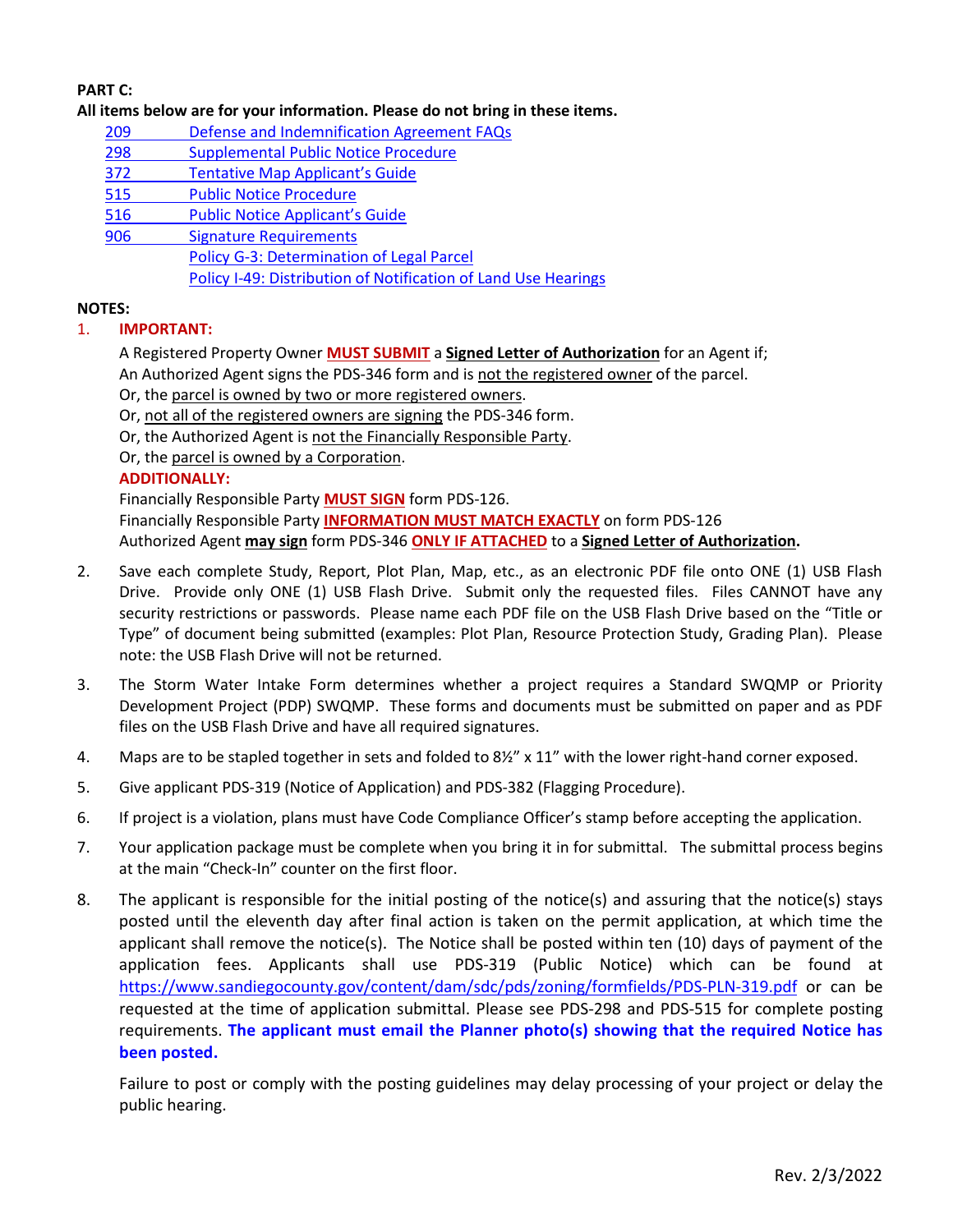# **PART C:**

### **All items below are for your information. Please do not bring in these items.**

- [209 Defense and Indemnification Agreement FAQs](http://www.sdcounty.ca.gov/pds/zoning/formfields/PDS-PLN-209.pdf)
- [298 Supplemental Public Notice Procedure](http://www.sdcounty.ca.gov/pds/zoning/formfields/PDS-PLN-298.pdf)
- 372 [Tentative Map Applicant's Guide](http://www.sdcounty.ca.gov/pds/zoning/formfields/PDS-PLN-372.pdf)
- [515 Public Notice Procedure](http://www.sdcounty.ca.gov/pds/zoning/formfields/PDS-PLN-515.pdf)
- [516 Public Notice Applicant's Guide](http://www.sdcounty.ca.gov/pds/zoning/formfields/PDS-PLN-516.pdf)
- [906 Signature Requirements](http://www.sdcounty.ca.gov/pds/zoning/formfields/PDS-PLN-906.pdf) [Policy G-3: Determination of Legal Parcel](http://www.sdcounty.ca.gov/pds/zoning/formfields/POLICY-G-3.pdf)
	- [Policy I-49: Distribution of Notification of Land Use Hearings](http://www.sdcounty.ca.gov/cob/docs/policy/I-49.pdf)

## **NOTES:**

## 1. **IMPORTANT:**

- A Registered Property Owner **MUST SUBMIT** a **Signed Letter of Authorization** for an Agent if; An Authorized Agent signs the PDS-346 form and is not the registered owner of the parcel.
- Or, the parcel is owned by two or more registered owners.
- Or, not all of the registered owners are signing the PDS-346 form.
- Or, the Authorized Agent is not the Financially Responsible Party.
- Or, the parcel is owned by a Corporation.

## **ADDITIONALLY:**

Financially Responsible Party **MUST SIGN** form PDS-126. Financially Responsible Party **INFORMATION MUST MATCH EXACTLY** on form PDS-126 Authorized Agent **may sign** form PDS-346 **ONLY IF ATTACHED** to a **Signed Letter of Authorization.**

- 2. Save each complete Study, Report, Plot Plan, Map, etc., as an electronic PDF file onto ONE (1) USB Flash Drive. Provide only ONE (1) USB Flash Drive. Submit only the requested files. Files CANNOT have any security restrictions or passwords. Please name each PDF file on the USB Flash Drive based on the "Title or Type" of document being submitted (examples: Plot Plan, Resource Protection Study, Grading Plan). Please note: the USB Flash Drive will not be returned.
- 3. The Storm Water Intake Form determines whether a project requires a Standard SWQMP or Priority Development Project (PDP) SWQMP. These forms and documents must be submitted on paper and as PDF files on the USB Flash Drive and have all required signatures.
- 4. Maps are to be stapled together in sets and folded to 8½" x 11" with the lower right-hand corner exposed.
- 5. Give applicant PDS-319 (Notice of Application) and PDS-382 (Flagging Procedure).
- 6. If project is a violation, plans must have Code Compliance Officer's stamp before accepting the application.
- 7. Your application package must be complete when you bring it in for submittal. The submittal process begins at the main "Check-In" counter on the first floor.
- 8. The applicant is responsible for the initial posting of the notice(s) and assuring that the notice(s) stays posted until the eleventh day after final action is taken on the permit application, at which time the applicant shall remove the notice(s). The Notice shall be posted within ten (10) days of payment of the application fees. Applicants shall use PDS-319 (Public Notice) which can be found at <https://www.sandiegocounty.gov/content/dam/sdc/pds/zoning/formfields/PDS-PLN-319.pdf> or can be requested at the time of application submittal. Please see PDS-298 and PDS-515 for complete posting requirements. **The applicant must email the Planner photo(s) showing that the required Notice has been posted.**

Failure to post or comply with the posting guidelines may delay processing of your project or delay the public hearing.